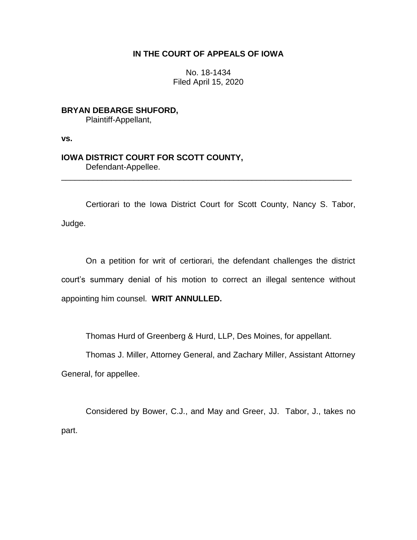## **IN THE COURT OF APPEALS OF IOWA**

No. 18-1434 Filed April 15, 2020

**BRYAN DEBARGE SHUFORD,** Plaintiff-Appellant,

**vs.**

## **IOWA DISTRICT COURT FOR SCOTT COUNTY,** Defendant-Appellee.

Certiorari to the Iowa District Court for Scott County, Nancy S. Tabor, Judge.

\_\_\_\_\_\_\_\_\_\_\_\_\_\_\_\_\_\_\_\_\_\_\_\_\_\_\_\_\_\_\_\_\_\_\_\_\_\_\_\_\_\_\_\_\_\_\_\_\_\_\_\_\_\_\_\_\_\_\_\_\_\_\_\_

On a petition for writ of certiorari, the defendant challenges the district court's summary denial of his motion to correct an illegal sentence without appointing him counsel. **WRIT ANNULLED.** 

Thomas Hurd of Greenberg & Hurd, LLP, Des Moines, for appellant.

Thomas J. Miller, Attorney General, and Zachary Miller, Assistant Attorney General, for appellee.

Considered by Bower, C.J., and May and Greer, JJ. Tabor, J., takes no part.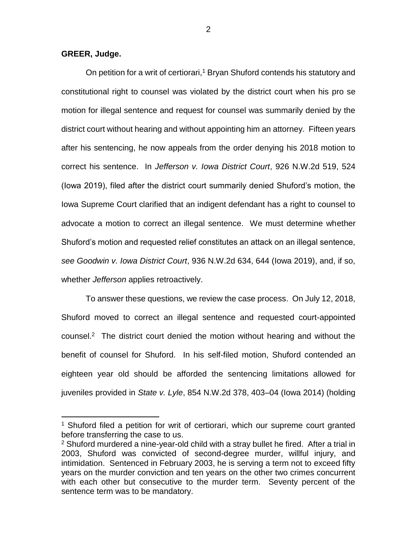**GREER, Judge.**

 $\overline{a}$ 

On petition for a writ of certiorari,<sup>1</sup> Bryan Shuford contends his statutory and constitutional right to counsel was violated by the district court when his pro se motion for illegal sentence and request for counsel was summarily denied by the district court without hearing and without appointing him an attorney. Fifteen years after his sentencing, he now appeals from the order denying his 2018 motion to correct his sentence. In *Jefferson v. Iowa District Court*, 926 N.W.2d 519, 524 (Iowa 2019), filed after the district court summarily denied Shuford's motion, the Iowa Supreme Court clarified that an indigent defendant has a right to counsel to advocate a motion to correct an illegal sentence. We must determine whether Shuford's motion and requested relief constitutes an attack on an illegal sentence, *see Goodwin v. Iowa District Court*, 936 N.W.2d 634, 644 (Iowa 2019), and, if so, whether *Jefferson* applies retroactively.

To answer these questions, we review the case process. On July 12, 2018, Shuford moved to correct an illegal sentence and requested court-appointed counsel.<sup>2</sup> The district court denied the motion without hearing and without the benefit of counsel for Shuford. In his self-filed motion, Shuford contended an eighteen year old should be afforded the sentencing limitations allowed for juveniles provided in *State v. Lyle*, 854 N.W.2d 378, 403–04 (Iowa 2014) (holding

<sup>&</sup>lt;sup>1</sup> Shuford filed a petition for writ of certiorari, which our supreme court granted before transferring the case to us.

<sup>2</sup> Shuford murdered a nine-year-old child with a stray bullet he fired. After a trial in 2003, Shuford was convicted of second-degree murder, willful injury, and intimidation. Sentenced in February 2003, he is serving a term not to exceed fifty years on the murder conviction and ten years on the other two crimes concurrent with each other but consecutive to the murder term. Seventy percent of the sentence term was to be mandatory.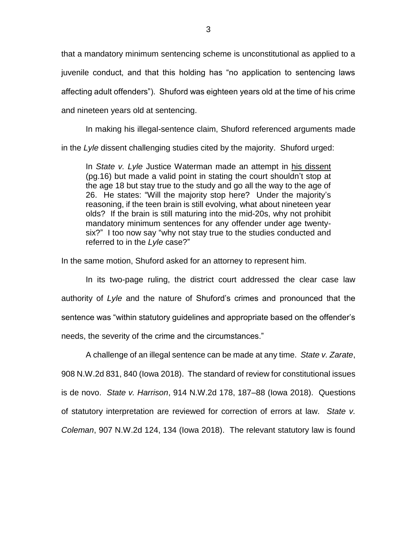that a mandatory minimum sentencing scheme is unconstitutional as applied to a juvenile conduct, and that this holding has "no application to sentencing laws affecting adult offenders"). Shuford was eighteen years old at the time of his crime and nineteen years old at sentencing.

In making his illegal-sentence claim, Shuford referenced arguments made in the *Lyle* dissent challenging studies cited by the majority. Shuford urged:

In *State v. Lyle* Justice Waterman made an attempt in his dissent (pg.16) but made a valid point in stating the court shouldn't stop at the age 18 but stay true to the study and go all the way to the age of 26. He states: "Will the majority stop here? Under the majority's reasoning, if the teen brain is still evolving, what about nineteen year olds? If the brain is still maturing into the mid-20s, why not prohibit mandatory minimum sentences for any offender under age twentysix?" I too now say "why not stay true to the studies conducted and referred to in the *Lyle* case?"

In the same motion, Shuford asked for an attorney to represent him.

In its two-page ruling, the district court addressed the clear case law authority of *Lyle* and the nature of Shuford's crimes and pronounced that the sentence was "within statutory guidelines and appropriate based on the offender's needs, the severity of the crime and the circumstances."

A challenge of an illegal sentence can be made at any time. *State v. Zarate*, 908 N.W.2d 831, 840 (Iowa 2018). The standard of review for constitutional issues is de novo. *State v. Harrison*, 914 N.W.2d 178, 187–88 (Iowa 2018). Questions of statutory interpretation are reviewed for correction of errors at law. *State v. Coleman*, 907 N.W.2d 124, 134 (Iowa 2018). The relevant statutory law is found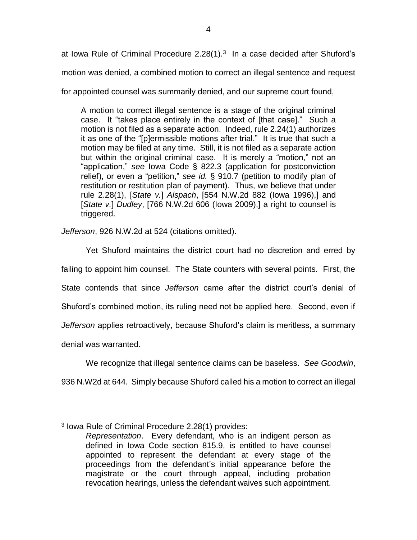at Iowa Rule of Criminal Procedure 2.28(1). $3$  In a case decided after Shuford's motion was denied, a combined motion to correct an illegal sentence and request

for appointed counsel was summarily denied, and our supreme court found,

A motion to correct illegal sentence is a stage of the original criminal case. It "takes place entirely in the context of [that case]." Such a motion is not filed as a separate action. Indeed, rule 2.24(1) authorizes it as one of the "[p]ermissible motions after trial." It is true that such a motion may be filed at any time. Still, it is not filed as a separate action but within the original criminal case. It is merely a "motion," not an "application," *see* Iowa Code § 822.3 (application for postconviction relief), or even a "petition," *see id.* § 910.7 (petition to modify plan of restitution or restitution plan of payment). Thus, we believe that under rule 2.28(1), [*State v.*] *Alspach*, [554 N.W.2d 882 (Iowa 1996),] and [*State v.*] *Dudley*, [766 N.W.2d 606 (Iowa 2009),] a right to counsel is triggered.

*Jefferson*, 926 N.W.2d at 524 (citations omitted).

Yet Shuford maintains the district court had no discretion and erred by failing to appoint him counsel. The State counters with several points. First, the State contends that since *Jefferson* came after the district court's denial of Shuford's combined motion, its ruling need not be applied here. Second, even if *Jefferson* applies retroactively, because Shuford's claim is meritless, a summary denial was warranted.

We recognize that illegal sentence claims can be baseless. *See Goodwin*,

936 N.W2d at 644. Simply because Shuford called his a motion to correct an illegal

 $\overline{a}$ 

<sup>3</sup> Iowa Rule of Criminal Procedure 2.28(1) provides:

*Representation*. Every defendant, who is an indigent person as defined in Iowa Code section 815.9, is entitled to have counsel appointed to represent the defendant at every stage of the proceedings from the defendant's initial appearance before the magistrate or the court through appeal, including probation revocation hearings, unless the defendant waives such appointment.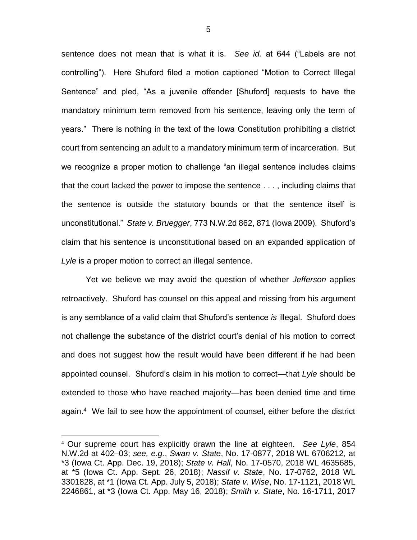sentence does not mean that is what it is. *See id.* at 644 ("Labels are not controlling"). Here Shuford filed a motion captioned "Motion to Correct Illegal Sentence" and pled, "As a juvenile offender [Shuford] requests to have the mandatory minimum term removed from his sentence, leaving only the term of years." There is nothing in the text of the Iowa Constitution prohibiting a district court from sentencing an adult to a mandatory minimum term of incarceration. But we recognize a proper motion to challenge "an illegal sentence includes claims that the court lacked the power to impose the sentence . . . , including claims that the sentence is outside the statutory bounds or that the sentence itself is unconstitutional." *State v. Bruegger*, 773 N.W.2d 862, 871 (Iowa 2009). Shuford's claim that his sentence is unconstitutional based on an expanded application of *Lyle* is a proper motion to correct an illegal sentence.

Yet we believe we may avoid the question of whether *Jefferson* applies retroactively. Shuford has counsel on this appeal and missing from his argument is any semblance of a valid claim that Shuford's sentence *is* illegal. Shuford does not challenge the substance of the district court's denial of his motion to correct and does not suggest how the result would have been different if he had been appointed counsel. Shuford's claim in his motion to correct—that *Lyle* should be extended to those who have reached majority—has been denied time and time again.<sup>4</sup> We fail to see how the appointment of counsel, either before the district

 $\overline{a}$ 

<sup>4</sup> Our supreme court has explicitly drawn the line at eighteen. *See Lyle*, 854 N.W.2d at 402–03; *see, e.g.*, *Swan v. State*[, No. 17-0877, 2018 WL 6706212, at](https://1.next.westlaw.com/Link/Document/FullText?findType=Y&serNum=2047162200&pubNum=0000999&originatingDoc=Ife5f697078aa11e981b9f3f7c11376fd&refType=RP&originationContext=document&transitionType=DocumentItem&contextData=(sc.Keycite))  [\\*3 \(Iowa Ct. App. Dec. 19, 2018\);](https://1.next.westlaw.com/Link/Document/FullText?findType=Y&serNum=2047162200&pubNum=0000999&originatingDoc=Ife5f697078aa11e981b9f3f7c11376fd&refType=RP&originationContext=document&transitionType=DocumentItem&contextData=(sc.Keycite)) *State v. Hall*[, No. 17-0570, 2018 WL 4635685,](https://1.next.westlaw.com/Link/Document/FullText?findType=Y&serNum=2045599821&pubNum=0000999&originatingDoc=Ife5f697078aa11e981b9f3f7c11376fd&refType=RP&originationContext=document&transitionType=DocumentItem&contextData=(sc.Keycite))  [at \\*5 \(Iowa Ct. App. Sept. 26, 2018\);](https://1.next.westlaw.com/Link/Document/FullText?findType=Y&serNum=2045599821&pubNum=0000999&originatingDoc=Ife5f697078aa11e981b9f3f7c11376fd&refType=RP&originationContext=document&transitionType=DocumentItem&contextData=(sc.Keycite)) *Nassif v. State*[, No. 17-0762, 2018 WL](https://1.next.westlaw.com/Link/Document/FullText?findType=Y&serNum=2044920833&pubNum=0000999&originatingDoc=Ife5f697078aa11e981b9f3f7c11376fd&refType=RP&originationContext=document&transitionType=DocumentItem&contextData=(sc.Keycite))  [3301828, at \\*1 \(Iowa Ct. App. July 5, 2018\);](https://1.next.westlaw.com/Link/Document/FullText?findType=Y&serNum=2044920833&pubNum=0000999&originatingDoc=Ife5f697078aa11e981b9f3f7c11376fd&refType=RP&originationContext=document&transitionType=DocumentItem&contextData=(sc.Keycite)) *State v. Wise*[, No. 17-1121, 2018 WL](https://1.next.westlaw.com/Link/Document/FullText?findType=Y&serNum=2044547635&pubNum=0000999&originatingDoc=Ife5f697078aa11e981b9f3f7c11376fd&refType=RP&originationContext=document&transitionType=DocumentItem&contextData=(sc.Keycite))  [2246861, at \\*3 \(Iowa Ct. App. May 16, 2018\);](https://1.next.westlaw.com/Link/Document/FullText?findType=Y&serNum=2044547635&pubNum=0000999&originatingDoc=Ife5f697078aa11e981b9f3f7c11376fd&refType=RP&originationContext=document&transitionType=DocumentItem&contextData=(sc.Keycite)) *Smith v. State*[, No. 16-1711, 2017](https://1.next.westlaw.com/Link/Document/FullText?findType=Y&serNum=2042295807&pubNum=0000999&originatingDoc=Ife5f697078aa11e981b9f3f7c11376fd&refType=RP&originationContext=document&transitionType=DocumentItem&contextData=(sc.Keycite))